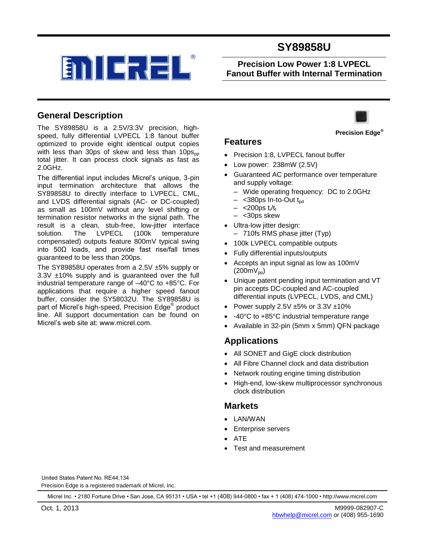

**Precision Low Power 1:8 LVPECL Fanout Buffer with Internal Termination**

#### **General Description**

The SY89858U is a 2.5V/3.3V precision, highspeed, fully differential LVPECL 1:8 fanout buffer optimized to provide eight identical output copies with less than 30ps of skew and less than  $10ps_{\text{op}}$ total jitter. It can process clock signals as fast as 2.0GHz.

The differential input includes Micrel's unique, 3-pin input termination architecture that allows the SY89858U to directly interface to LVPECL, CML, and LVDS differential signals (AC- or DC-coupled) as small as 100mV without any level shifting or termination resistor networks in the signal path. The result is a clean, stub-free, low-jitter interface solution. The LVPECL (100k temperature compensated) outputs feature 800mV typical swing into 50Ω loads, and provide fast rise/fall times guaranteed to be less than 200ps.

The SY89858U operates from a 2.5V ±5% supply or 3.3V ±10% supply and is guaranteed over the full industrial temperature range of –40°C to +85°C. For applications that require a higher speed fanout buffer, consider the SY58032U. The SY89858U is part of Micrel's high-speed, Precision Edge® product line. All support documentation can be found on Micrel's web site at: www.micrel.com.



#### **Features**

- Precision 1:8, LVPECL fanout buffer
- Low power: 238mW (2.5V)
- Guaranteed AC performance over temperature and supply voltage:
	- Wide operating frequency: DC to 2.0GHz
	- $-$  <380ps In-to-Out t<sub>pd</sub>
	- <200ps t<sub>r</sub>/t<sub>f</sub>
	- <30ps skew
- Ultra-low jitter design:
- 710fs RMS phase jitter (Typ)
- 100k LVPECL compatible outputs
- Fully differential inputs/outputs
- Accepts an input signal as low as 100mV  $(200mV_{\text{pp}})$
- Unique patent pending input termination and VT pin accepts DC-coupled and AC-coupled differential inputs (LVPECL, LVDS, and CML)
- Power supply 2.5V  $\pm 5\%$  or 3.3V  $\pm 10\%$
- -40°C to +85°C industrial temperature range
- Available in 32-pin (5mm x 5mm) QFN package

#### **Applications**

- All SONET and GigE clock distribution
- All Fibre Channel clock and data distribution
- Network routing engine timing distribution
- High-end, low-skew multiprocessor synchronous clock distribution

#### **Markets**

- LAN/WAN
- Enterprise servers
- ATE
- Test and measurement

Precision Edge is a registered trademark of Micrel, Inc. United States Patent No. RE44,134

Micrel Inc. • 2180 Fortune Drive • San Jose, CA 95131 • USA • tel +1 (408) 944-0800 • fax + 1 (408) 474-1000 • http://www.micrel.com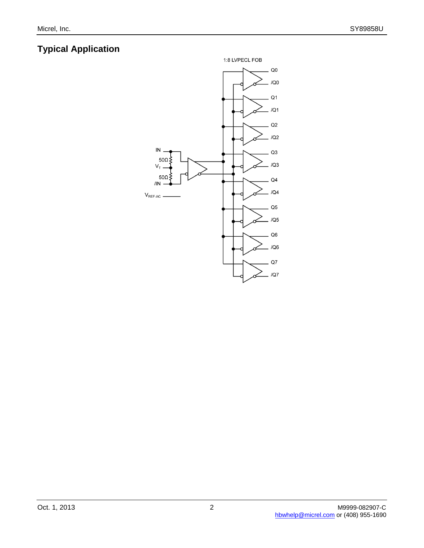# **Typical Application**

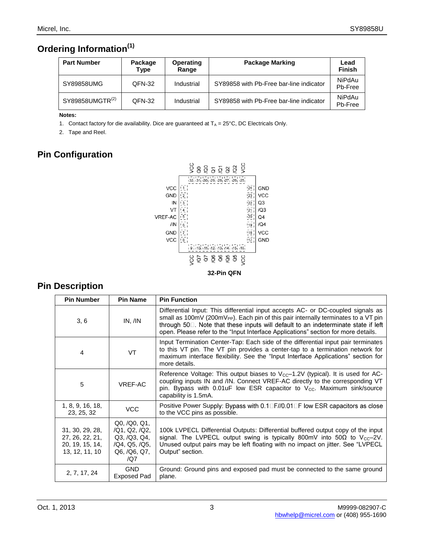# **Ordering Information(1)**

| <b>Part Number</b>          | Package<br>Type | Operating<br>Range | <b>Package Marking</b>                  | Lead<br><b>Finish</b> |
|-----------------------------|-----------------|--------------------|-----------------------------------------|-----------------------|
| SY89858UMG                  | QFN-32          | Industrial         | SY89858 with Pb-Free bar-line indicator | NiPdAu<br>Pb-Free     |
| SY89858UMGTR <sup>(2)</sup> | QFN-32          | Industrial         | SY89858 with Pb-Free bar-line indicator | NiPdAu<br>Pb-Free     |

#### **Notes:**

1. Contact factory for die availability. Dice are guaranteed at  $T_A = 25^{\circ}$ C, DC Electricals Only.

2. Tape and Reel.

# **Pin Configuration**



#### **Pin Description**

| <b>Pin Number</b>                                                       | <b>Pin Name</b>                                                                                  | <b>Pin Function</b>                                                                                                                                                                                                                                                                                                                                            |  |  |
|-------------------------------------------------------------------------|--------------------------------------------------------------------------------------------------|----------------------------------------------------------------------------------------------------------------------------------------------------------------------------------------------------------------------------------------------------------------------------------------------------------------------------------------------------------------|--|--|
| 3, 6                                                                    | IN, /IN                                                                                          | Differential Input: This differential input accepts AC- or DC-coupled signals as<br>small as 100mV (200mV <sub>PP</sub> ). Each pin of this pair internally terminates to a VT pin<br>through 50 . Note that these inputs will default to an indeterminate state if left<br>open. Please refer to the "Input Interface Applications" section for more details. |  |  |
| 4                                                                       | VT                                                                                               | Input Termination Center-Tap: Each side of the differential input pair terminates<br>to this VT pin. The VT pin provides a center-tap to a termination network for<br>maximum interface flexibility. See the "Input Interface Applications" section for<br>more details.                                                                                       |  |  |
| 5                                                                       | VREF-AC                                                                                          | Reference Voltage: This output biases to $V_{cc}$ -1.2V (typical). It is used for AC-<br>coupling inputs IN and /IN. Connect VREF-AC directly to the corresponding VT<br>pin. Bypass with $0.01$ uF low ESR capacitor to V <sub>cc</sub> . Maximum sink/source<br>capability is 1.5mA.                                                                         |  |  |
| 1, 8, 9, 16, 18,<br>23, 25, 32                                          | <b>VCC</b>                                                                                       | Positive Power Supply: Bypass with 0.1□F//0.01□F low ESR capacitors as close<br>to the VCC pins as possible.                                                                                                                                                                                                                                                   |  |  |
| 31, 30, 29, 28,<br>27, 26, 22, 21,<br>20, 19, 15, 14,<br>13, 12, 11, 10 | Q0, /Q0, Q1,<br>/Q1, Q2, /Q2,<br>Q3, /Q3, Q4,<br>/Q4, Q5, /Q5,<br>Q6, /Q6, Q7,<br>$\overline{Q}$ | 100k LVPECL Differential Outputs: Differential buffered output copy of the input<br>signal. The LVPECL output swing is typically 800mV into 50 $\Omega$ to V <sub>CC</sub> -2V.<br>Unused output pairs may be left floating with no impact on jitter. See "LVPECL<br>Output" section.                                                                          |  |  |
| 2, 7, 17, 24                                                            | <b>GND</b><br><b>Exposed Pad</b>                                                                 | Ground: Ground pins and exposed pad must be connected to the same ground<br>plane.                                                                                                                                                                                                                                                                             |  |  |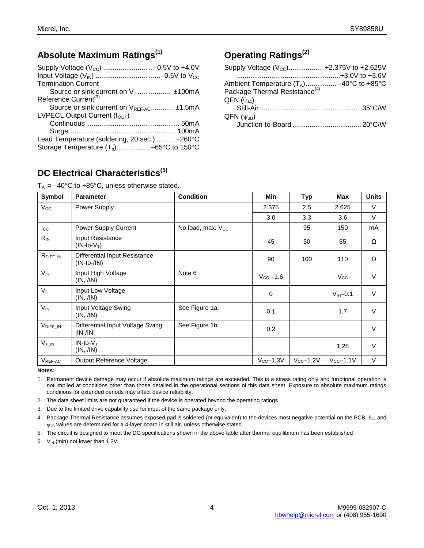## **Absolute Maximum Ratings(1)**

| <b>Termination Current</b>                           |
|------------------------------------------------------|
| Source or sink current on $V_1$ $\pm$ 100mA          |
| Reference Current <sup>(3)</sup>                     |
| Source or sink current on V <sub>REF-AC</sub> ±1.5mA |
| LVPECL Output Current $(I_{\Omega \cup T})$          |
|                                                      |
|                                                      |
| Lead Temperature (soldering, 20 sec.) +260°C         |
| Storage Temperature $(T_s)$ –65°C to 150°C           |

# **Operating Ratings(2)**

| Supply Voltage $(V_{\text{CC}})$ +2.375V to +2.625V |  |
|-----------------------------------------------------|--|
|                                                     |  |
| Ambient Temperature $(T_A)$ -40°C to +85°C          |  |
| Package Thermal Resistance <sup>(4)</sup>           |  |
| $QFN(\theta_{JA})$                                  |  |
|                                                     |  |
| $QFN(\psi_{JB})$                                    |  |
|                                                     |  |

# **DC Electrical Characteristics(5)**

 $T_A = -40^{\circ}$ C to +85°C, unless otherwise stated.

| Symbol                | <b>Parameter</b>                                      | <b>Condition</b>              | Min                   | <b>Typ</b>     | Max               | <b>Units</b> |
|-----------------------|-------------------------------------------------------|-------------------------------|-----------------------|----------------|-------------------|--------------|
| $V_{\rm CC}$          | Power Supply                                          |                               | 2.375                 | 2.5            | 2.625             | $\vee$       |
|                       |                                                       |                               | 3.0                   | 3.3            | 3.6               | $\vee$       |
| $_{\text{loc}}$       | Power Supply Current                                  | No load, max. V <sub>cc</sub> |                       | 95             | 150               | mA           |
| $R_{IN}$              | Input Resistance<br>$(IN-to-VT)$                      |                               | 45                    | 50             | 55                | Ω            |
| $R_{DIFT\_IN}$        | <b>Differential Input Resistance</b><br>$(IN-to-/IN)$ |                               | 90                    | 100            | 110               | Ω            |
| V <sub>IH</sub>       | Input High Voltage<br>(IN, /IN)                       | Note 6                        | $V_{\text{CC}} - 1.6$ |                | $V_{\rm CC}$      | $\vee$       |
| $V_{IL}$              | Input Low Voltage<br>(IN, /IN)                        |                               | $\mathbf 0$           |                | $V_{HH}$ -0.1     | $\vee$       |
| $V_{IN}$              | Input Voltage Swing<br>(IN, /IN)                      | See Figure 1a.                | 0.1                   |                | 1.7               | $\vee$       |
| $V_{\text{DIFF\_IN}}$ | Differential Input Voltage Swing<br> IN-/IN           | See Figure 1b.                | 0.2                   |                |                   | V            |
| $V_{T\_IN}$           | $IN-to-VT$<br>(IN, /IN)                               |                               |                       |                | 1.28              | $\vee$       |
| VREF-AC               | Output Reference Voltage                              |                               | $V_{CC}$ -1.3 $V$     | $V_{CC}$ -1.2V | $V_{CC}$ -1.1 $V$ | V            |

**Notes:**

1. Permanent device damage may occur if absolute maximum ratings are exceeded. This is a stress rating only and functional operation is not implied at conditions other than those detailed in the operational sections of this data sheet. Exposure to absolute maximum ratings conditions for extended periods may affect device reliability.

2. The data sheet limits are not guaranteed if the device is operated beyond the operating ratings.

3. Due to the limited drive capability use for input of the same package only.

4. Package Thermal Resistance assumes exposed pad is soldered (or equivalent) to the devices most negative potential on the PCB.  $\theta_{JA}$  and  $\psi_{JB}$  values are determined for a 4-layer board in still air, unless otherwise stated.

5. The circuit is designed to meet the DC specifications shown in the above table after thermal equilibrium has been established.

6.  $V_{IH}$  (min) not lower than 1.2V.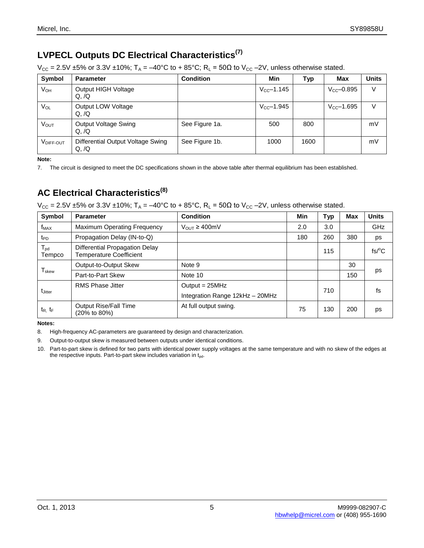# **LVPECL Outputs DC Electrical Characteristics(7)**

 $V_{CC} = 2.5V \pm 5\%$  or 3.3V  $\pm 10\%$ ; T<sub>A</sub> = -40°C to + 85°C; R<sub>L</sub> = 50 $\Omega$  to V<sub>CC</sub> -2V, unless otherwise stated.

| Symbol      | <b>Parameter</b>                          | <b>Condition</b> | Min                 | Typ  | Max                     | <b>Units</b> |
|-------------|-------------------------------------------|------------------|---------------------|------|-------------------------|--------------|
| $V_{OH}$    | Output HIGH Voltage<br>Q,/Q               |                  | $V_{\rm CC}$ -1.145 |      | $V_{CC} - 0.895$        | V            |
| VOL         | Output LOW Voltage<br>Q,/Q                |                  | $V_{CC} - 1.945$    |      | $V_{\text{CC}} - 1.695$ | V            |
| <b>VOUT</b> | <b>Output Voltage Swing</b><br>Q,/Q       | See Figure 1a.   | 500                 | 800  |                         | mV           |
| VDIFF-OUT   | Differential Output Voltage Swing<br>Q,/Q | See Figure 1b.   | 1000                | 1600 |                         | mV           |

**Note:**

7. The circuit is designed to meet the DC specifications shown in the above table after thermal equilibrium has been established.

# **AC Electrical Characteristics(8)**

 $V_{CC} = 2.5V \pm 5\%$  or 3.3V  $\pm 10\%$ ; T<sub>A</sub> = -40°C to + 85°C, R<sub>L</sub> = 50 $\Omega$  to V<sub>CC</sub> -2V, unless otherwise stated.

| Symbol                    | <b>Parameter</b>                                                 | <b>Condition</b>                | <b>Min</b> | <b>Typ</b> | Max | <b>Units</b>          |  |
|---------------------------|------------------------------------------------------------------|---------------------------------|------------|------------|-----|-----------------------|--|
| $f_{MAX}$                 | <b>Maximum Operating Frequency</b>                               | $V_{OUT} \geq 400$ mV           | 2.0        | 3.0        |     | GHz                   |  |
| t <sub>PD</sub>           | Propagation Delay (IN-to-Q)                                      |                                 | 180        | 260        | 380 | ps                    |  |
| $T_{\text{pd}}$<br>Tempco | Differential Propagation Delay<br><b>Temperature Coefficient</b> |                                 |            | 115        |     | $fs$ <sup>O</sup> $C$ |  |
|                           | Output-to-Output Skew                                            | Note 9                          |            |            | 30  |                       |  |
| $T_{\rm skew}$            | Part-to-Part Skew                                                | Note 10                         |            |            | 150 | ps                    |  |
|                           | <b>RMS Phase Jitter</b>                                          | Output = $25MHz$                |            | 710        |     | fs                    |  |
| t <sub>Jitter</sub>       |                                                                  | Integration Range 12kHz - 20MHz |            |            |     |                       |  |
| $t_{R}$ , $t_{F}$         | Output Rise/Fall Time<br>(20% to 80%)                            | At full output swing.           | 75         | 130        | 200 | ps                    |  |

**Notes:**

8. High-frequency AC-parameters are guaranteed by design and characterization.

9. Output-to-output skew is measured between outputs under identical conditions.

10. Part-to-part skew is defined for two parts with identical power supply voltages at the same temperature and with no skew of the edges at the respective inputs. Part-to-part skew includes variation in  $t_{pd}$ .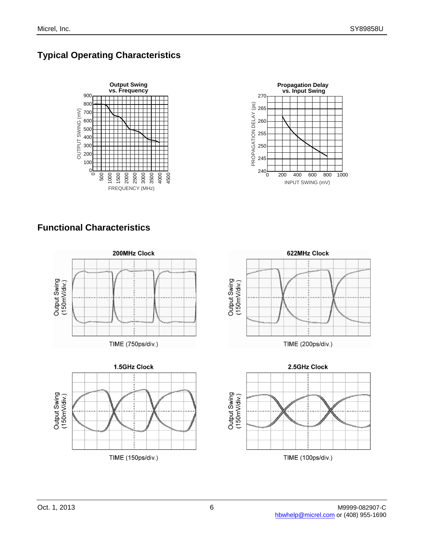# **Typical Operating Characteristics**





# **Functional Characteristics**





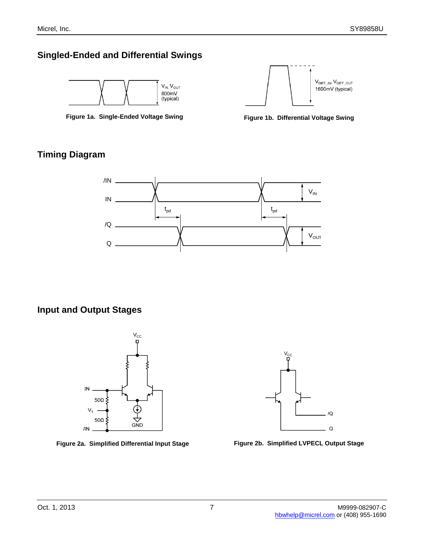### **Singled-Ended and Differential Swings**







### **Timing Diagram**



### **Input and Output Stages**





**Figure 2a. Simplified Differential Input Stage Figure 2b. Simplified LVPECL Output Stage**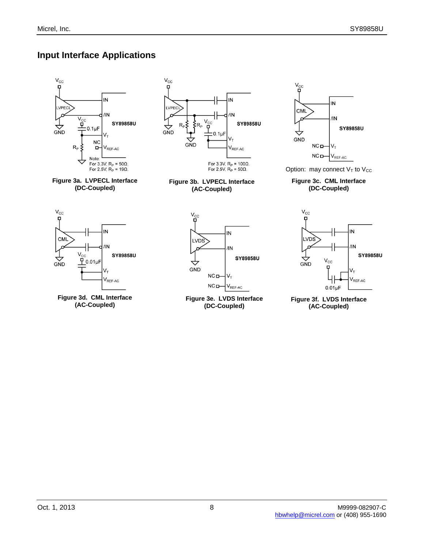# **Input Interface Applications**

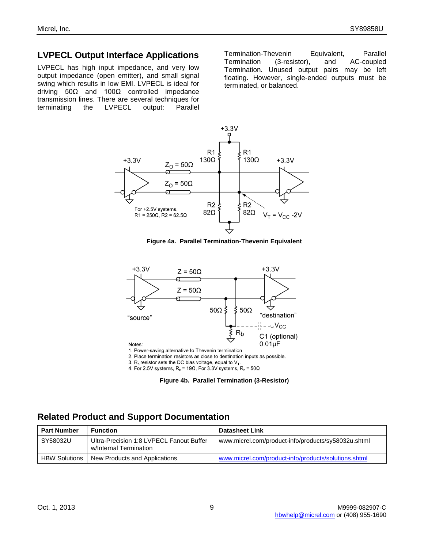#### **LVPECL Output Interface Applications**

LVPECL has high input impedance, and very low output impedance (open emitter), and small signal swing which results in low EMI. LVPECL is ideal for driving 50Ω and 100Ω controlled impedance transmission lines. There are several techniques for terminating the LVPECL output: Parallel

Termination-Thevenin Equivalent, Parallel Termination (3-resistor), and AC-coupled Termination. Unused output pairs may be left floating. However, single-ended outputs must be terminated, or balanced.



**Figure 4a. Parallel Termination-Thevenin Equivalent**



2. Place termination resistors as close to destination inputs as possible.

3.  $R_b$  resistor sets the DC bias voltage, equal to  $V_T$ .

4. For 2.5V systems,  $R_b$  = 19 $\Omega$ , For 3.3V systems,  $R_b$  = 50 $\Omega$ 



#### **Related Product and Support Documentation**

| <b>Part Number</b>   | Function                                                           | <b>Datasheet Link</b>                                |
|----------------------|--------------------------------------------------------------------|------------------------------------------------------|
| SY58032U             | Ultra-Precision 1:8 LVPECL Fanout Buffer<br>w/Internal Termination | www.micrel.com/product-info/products/sy58032u.shtml  |
| <b>HBW Solutions</b> | New Products and Applications                                      | www.micrel.com/product-info/products/solutions.shtml |